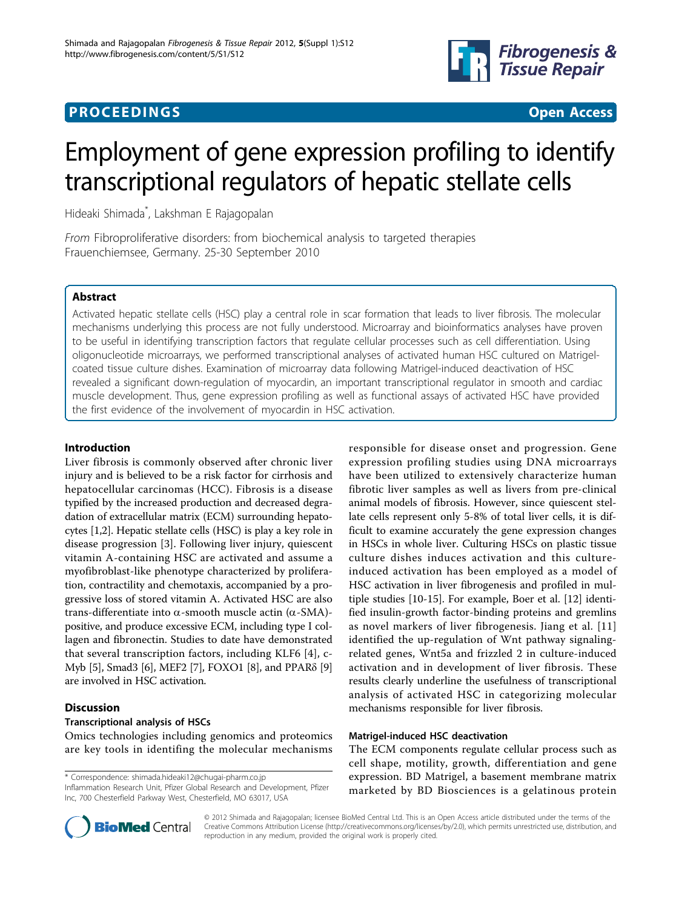

# **PROCEEDINGS STATE SERVICE SERVICE SERVICE SERVICE SERVICE SERVICE SERVICE SERVICE SERVICE SERVICE SERVICE SERVICE SERVICE SERVICE SERVICE SERVICE SERVICE SERVICE SERVICE SERVICE SERVICE SERVICE SERVICE SERVICE SERVICE S**



# Employment of gene expression profiling to identify transcriptional regulators of hepatic stellate cells

Hideaki Shimada\* , Lakshman E Rajagopalan

From Fibroproliferative disorders: from biochemical analysis to targeted therapies Frauenchiemsee, Germany. 25-30 September 2010

# Abstract

Activated hepatic stellate cells (HSC) play a central role in scar formation that leads to liver fibrosis. The molecular mechanisms underlying this process are not fully understood. Microarray and bioinformatics analyses have proven to be useful in identifying transcription factors that regulate cellular processes such as cell differentiation. Using oligonucleotide microarrays, we performed transcriptional analyses of activated human HSC cultured on Matrigelcoated tissue culture dishes. Examination of microarray data following Matrigel-induced deactivation of HSC revealed a significant down-regulation of myocardin, an important transcriptional regulator in smooth and cardiac muscle development. Thus, gene expression profiling as well as functional assays of activated HSC have provided the first evidence of the involvement of myocardin in HSC activation.

## Introduction

Liver fibrosis is commonly observed after chronic liver injury and is believed to be a risk factor for cirrhosis and hepatocellular carcinomas (HCC). Fibrosis is a disease typified by the increased production and decreased degradation of extracellular matrix (ECM) surrounding hepatocytes [\[1,2\]](#page-2-0). Hepatic stellate cells (HSC) is play a key role in disease progression [\[3](#page-2-0)]. Following liver injury, quiescent vitamin A-containing HSC are activated and assume a myofibroblast-like phenotype characterized by proliferation, contractility and chemotaxis, accompanied by a progressive loss of stored vitamin A. Activated HSC are also trans-differentiate into  $\alpha$ -smooth muscle actin ( $\alpha$ -SMA)positive, and produce excessive ECM, including type I collagen and fibronectin. Studies to date have demonstrated that several transcription factors, including KLF6 [[4\]](#page-2-0), c-Myb [[5](#page-2-0)], Smad3 [\[6](#page-2-0)], MEF2 [[7\]](#page-2-0), FOXO1 [[8\]](#page-2-0), and PPARδ [[9](#page-2-0)] are involved in HSC activation.

# Discussion

## Transcriptional analysis of HSCs

Omics technologies including genomics and proteomics are key tools in identifing the molecular mechanisms

\* Correspondence: [shimada.hideaki12@chugai-pharm.co.jp](mailto:shimada.hideaki12@chugai-pharm.co.jp)

Inflammation Research Unit, Pfizer Global Research and Development, Pfizer Inc, 700 Chesterfield Parkway West, Chesterfield, MO 63017, USA

responsible for disease onset and progression. Gene expression profiling studies using DNA microarrays have been utilized to extensively characterize human fibrotic liver samples as well as livers from pre-clinical animal models of fibrosis. However, since quiescent stellate cells represent only 5-8% of total liver cells, it is difficult to examine accurately the gene expression changes in HSCs in whole liver. Culturing HSCs on plastic tissue culture dishes induces activation and this cultureinduced activation has been employed as a model of HSC activation in liver fibrogenesis and profiled in multiple studies [\[10-15](#page-2-0)]. For example, Boer et al. [[12\]](#page-2-0) identified insulin-growth factor-binding proteins and gremlins as novel markers of liver fibrogenesis. Jiang et al. [[11](#page-2-0)] identified the up-regulation of Wnt pathway signalingrelated genes, Wnt5a and frizzled 2 in culture-induced activation and in development of liver fibrosis. These results clearly underline the usefulness of transcriptional analysis of activated HSC in categorizing molecular mechanisms responsible for liver fibrosis.

## Matrigel-induced HSC deactivation

The ECM components regulate cellular process such as cell shape, motility, growth, differentiation and gene expression. BD Matrigel, a basement membrane matrix marketed by BD Biosciences is a gelatinous protein



© 2012 Shimada and Rajagopalan; licensee BioMed Central Ltd. This is an Open Access article distributed under the terms of the Creative Commons Attribution License (<http://creativecommons.org/licenses/by/2.0>), which permits unrestricted use, distribution, and reproduction in any medium, provided the original work is properly cited.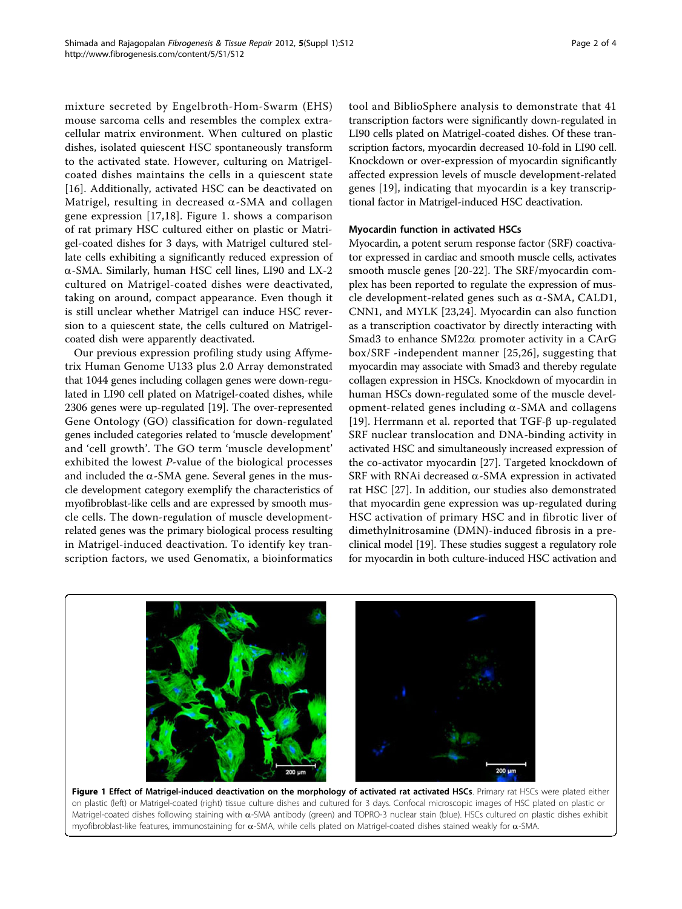mixture secreted by Engelbroth-Hom-Swarm (EHS) mouse sarcoma cells and resembles the complex extracellular matrix environment. When cultured on plastic dishes, isolated quiescent HSC spontaneously transform to the activated state. However, culturing on Matrigelcoated dishes maintains the cells in a quiescent state [[16\]](#page-2-0). Additionally, activated HSC can be deactivated on Matrigel, resulting in decreased  $\alpha$ -SMA and collagen gene expression [\[17](#page-2-0),[18\]](#page-2-0). Figure 1. shows a comparison of rat primary HSC cultured either on plastic or Matrigel-coated dishes for 3 days, with Matrigel cultured stellate cells exhibiting a significantly reduced expression of a-SMA. Similarly, human HSC cell lines, LI90 and LX-2 cultured on Matrigel-coated dishes were deactivated, taking on around, compact appearance. Even though it is still unclear whether Matrigel can induce HSC reversion to a quiescent state, the cells cultured on Matrigelcoated dish were apparently deactivated.

Our previous expression profiling study using Affymetrix Human Genome U133 plus 2.0 Array demonstrated that 1044 genes including collagen genes were down-regulated in LI90 cell plated on Matrigel-coated dishes, while 2306 genes were up-regulated [[19](#page-2-0)]. The over-represented Gene Ontology (GO) classification for down-regulated genes included categories related to 'muscle development' and 'cell growth'. The GO term 'muscle development' exhibited the lowest P-value of the biological processes and included the  $\alpha$ -SMA gene. Several genes in the muscle development category exemplify the characteristics of myofibroblast-like cells and are expressed by smooth muscle cells. The down-regulation of muscle developmentrelated genes was the primary biological process resulting in Matrigel-induced deactivation. To identify key transcription factors, we used Genomatix, a bioinformatics

tool and BiblioSphere analysis to demonstrate that 41 transcription factors were significantly down-regulated in LI90 cells plated on Matrigel-coated dishes. Of these transcription factors, myocardin decreased 10-fold in LI90 cell. Knockdown or over-expression of myocardin significantly affected expression levels of muscle development-related genes [\[19](#page-2-0)], indicating that myocardin is a key transcriptional factor in Matrigel-induced HSC deactivation.

#### Myocardin function in activated HSCs

Myocardin, a potent serum response factor (SRF) coactivator expressed in cardiac and smooth muscle cells, activates smooth muscle genes [[20-22\]](#page-2-0). The SRF/myocardin complex has been reported to regulate the expression of muscle development-related genes such as  $\alpha$ -SMA, CALD1, CNN1, and MYLK [[23,24\]](#page-3-0). Myocardin can also function as a transcription coactivator by directly interacting with Smad3 to enhance  $SM22\alpha$  promoter activity in a CArG box/SRF -independent manner [[25,26\]](#page-3-0), suggesting that myocardin may associate with Smad3 and thereby regulate collagen expression in HSCs. Knockdown of myocardin in human HSCs down-regulated some of the muscle development-related genes including  $\alpha$ -SMA and collagens [[19](#page-2-0)]. Herrmann et al. reported that  $TGF-\beta$  up-regulated SRF nuclear translocation and DNA-binding activity in activated HSC and simultaneously increased expression of the co-activator myocardin [\[27](#page-3-0)]. Targeted knockdown of SRF with RNAi decreased  $\alpha$ -SMA expression in activated rat HSC [[27\]](#page-3-0). In addition, our studies also demonstrated that myocardin gene expression was up-regulated during HSC activation of primary HSC and in fibrotic liver of dimethylnitrosamine (DMN)-induced fibrosis in a preclinical model [\[19\]](#page-2-0). These studies suggest a regulatory role for myocardin in both culture-induced HSC activation and



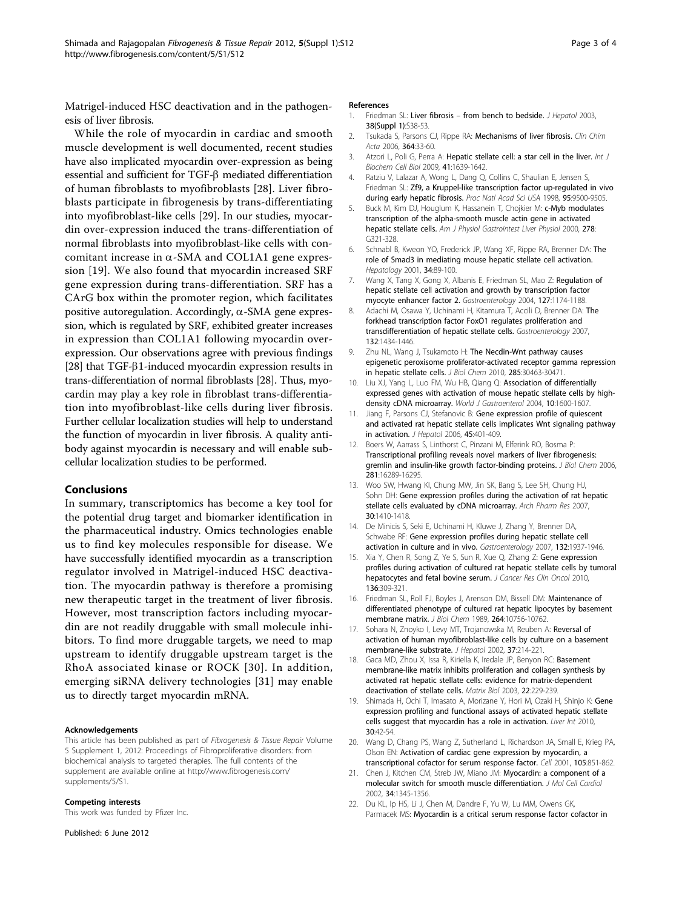<span id="page-2-0"></span>Matrigel-induced HSC deactivation and in the pathogenesis of liver fibrosis.

While the role of myocardin in cardiac and smooth muscle development is well documented, recent studies have also implicated myocardin over-expression as being essential and sufficient for TGF- $\beta$  mediated differentiation of human fibroblasts to myofibroblasts [[28\]](#page-3-0). Liver fibroblasts participate in fibrogenesis by trans-differentiating into myofibroblast-like cells [[29\]](#page-3-0). In our studies, myocardin over-expression induced the trans-differentiation of normal fibroblasts into myofibroblast-like cells with concomitant increase in  $\alpha$ -SMA and COL1A1 gene expression [19]. We also found that myocardin increased SRF gene expression during trans-differentiation. SRF has a CArG box within the promoter region, which facilitates positive autoregulation. Accordingly,  $\alpha$ -SMA gene expression, which is regulated by SRF, exhibited greater increases in expression than COL1A1 following myocardin overexpression. Our observations agree with previous findings [[28](#page-3-0)] that TGF- $\beta$ 1-induced myocardin expression results in trans-differentiation of normal fibroblasts [\[28\]](#page-3-0). Thus, myocardin may play a key role in fibroblast trans-differentiation into myofibroblast-like cells during liver fibrosis. Further cellular localization studies will help to understand the function of myocardin in liver fibrosis. A quality antibody against myocardin is necessary and will enable subcellular localization studies to be performed.

#### Conclusions

In summary, transcriptomics has become a key tool for the potential drug target and biomarker identification in the pharmaceutical industry. Omics technologies enable us to find key molecules responsible for disease. We have successfully identified myocardin as a transcription regulator involved in Matrigel-induced HSC deactivation. The myocardin pathway is therefore a promising new therapeutic target in the treatment of liver fibrosis. However, most transcription factors including myocardin are not readily druggable with small molecule inhibitors. To find more druggable targets, we need to map upstream to identify druggable upstream target is the RhoA associated kinase or ROCK [[30\]](#page-3-0). In addition, emerging siRNA delivery technologies [[31](#page-3-0)] may enable us to directly target myocardin mRNA.

#### Acknowledgements

This article has been published as part of Fibrogenesis & Tissue Repair Volume 5 Supplement 1, 2012: Proceedings of Fibroproliferative disorders: from biochemical analysis to targeted therapies. The full contents of the supplement are available online at [http://www.fibrogenesis.com/](http://www.fibrogenesis.com/supplements/5/S1) [supplements/5/S1.](http://www.fibrogenesis.com/supplements/5/S1)

#### Competing interests

This work was funded by Pfizer Inc.

Published: 6 June 2012

#### References

- 1. Friedman SL: Liver fibrosis from bench to bedside. J Hepatol 2003, 38(Suppl 1):S38-53.
- 2. Tsukada S, Parsons CJ, Rippe RA: Mechanisms of liver fibrosis. Clin Chim Acta 2006, 364:33-60.
- 3. Atzori L, Poli G, Perra A: Hepatic stellate cell: a star cell in the liver. Int J Biochem Cell Biol 2009, 41:1639-1642.
- 4. Ratziu V, Lalazar A, Wong L, Dang Q, Collins C, Shaulian E, Jensen S, Friedman SL: Zf9, a Kruppel-like transcription factor up-regulated in vivo during early hepatic fibrosis. Proc Natl Acad Sci USA 1998, 95:9500-9505.
- 5. Buck M, Kim DJ, Houglum K, Hassanein T, Chojkier M: c-Myb modulates transcription of the alpha-smooth muscle actin gene in activated hepatic stellate cells. Am J Physiol Gastrointest Liver Physiol 2000, 278: G321-328.
- 6. Schnabl B, Kweon YO, Frederick JP, Wang XF, Rippe RA, Brenner DA: The role of Smad3 in mediating mouse hepatic stellate cell activation. Hepatology 2001, 34:89-100.
- 7. Wang X, Tang X, Gong X, Albanis E, Friedman SL, Mao Z: Regulation of hepatic stellate cell activation and growth by transcription factor myocyte enhancer factor 2. Gastroenterology 2004, 127:1174-1188.
- 8. Adachi M, Osawa Y, Uchinami H, Kitamura T, Accili D, Brenner DA: The forkhead transcription factor FoxO1 regulates proliferation and transdifferentiation of hepatic stellate cells. Gastroenterology 2007, 132:1434-1446.
- 9. Zhu NL, Wang J, Tsukamoto H: The Necdin-Wnt pathway causes epigenetic peroxisome proliferator-activated receptor gamma repression in hepatic stellate cells. J Biol Chem 2010, 285:30463-30471.
- 10. Liu XJ, Yang L, Luo FM, Wu HB, Qiang Q: Association of differentially expressed genes with activation of mouse hepatic stellate cells by highdensity cDNA microarray. World J Gastroenterol 2004, 10:1600-1607.
- 11. Jiang F, Parsons CJ, Stefanovic B: Gene expression profile of quiescent and activated rat hepatic stellate cells implicates Wnt signaling pathway in activation. J Hepatol 2006, 45:401-409.
- 12. Boers W, Aarrass S, Linthorst C, Pinzani M, Elferink RO, Bosma P: Transcriptional profiling reveals novel markers of liver fibrogenesis: gremlin and insulin-like growth factor-binding proteins. J Biol Chem 2006, 281:16289-16295.
- 13. Woo SW, Hwang KI, Chung MW, Jin SK, Bang S, Lee SH, Chung HJ, Sohn DH: Gene expression profiles during the activation of rat hepatic stellate cells evaluated by cDNA microarray. Arch Pharm Res 2007, 30:1410-1418.
- 14. De Minicis S, Seki E, Uchinami H, Kluwe J, Zhang Y, Brenner DA, Schwabe RF: Gene expression profiles during hepatic stellate cell activation in culture and in vivo. Gastroenterology 2007, 132:1937-1946.
- 15. Xia Y, Chen R, Song Z, Ye S, Sun R, Xue Q, Zhang Z: Gene expression profiles during activation of cultured rat hepatic stellate cells by tumoral hepatocytes and fetal bovine serum. J Cancer Res Clin Oncol 2010, 136:309-321.
- 16. Friedman SL, Roll FJ, Boyles J, Arenson DM, Bissell DM: Maintenance of differentiated phenotype of cultured rat hepatic lipocytes by basement membrane matrix. J Biol Chem 1989, 264:10756-10762.
- 17. Sohara N, Znoyko I, Levy MT, Trojanowska M, Reuben A: Reversal of activation of human myofibroblast-like cells by culture on a basement membrane-like substrate. *J Hepatol* 2002, 37:214-221.
- 18. Gaca MD, Zhou X, Issa R, Kiriella K, Iredale JP, Benyon RC: Basement membrane-like matrix inhibits proliferation and collagen synthesis by activated rat hepatic stellate cells: evidence for matrix-dependent deactivation of stellate cells. Matrix Biol 2003, 22:229-239.
- 19. Shimada H, Ochi T, Imasato A, Morizane Y, Hori M, Ozaki H, Shinjo K: Gene expression profiling and functional assays of activated hepatic stellate cells suggest that myocardin has a role in activation. Liver Int 2010, 30:42-54.
- 20. Wang D, Chang PS, Wang Z, Sutherland L, Richardson JA, Small E, Krieg PA, Olson EN: Activation of cardiac gene expression by myocardin, a transcriptional cofactor for serum response factor. Cell 2001, 105:851-862.
- 21. Chen J, Kitchen CM, Streb JW, Miano JM: Myocardin: a component of a molecular switch for smooth muscle differentiation. J Mol Cell Cardiol 2002, 34:1345-1356.
- 22. Du KL, Ip HS, Li J, Chen M, Dandre F, Yu W, Lu MM, Owens GK, Parmacek MS: Myocardin is a critical serum response factor cofactor in